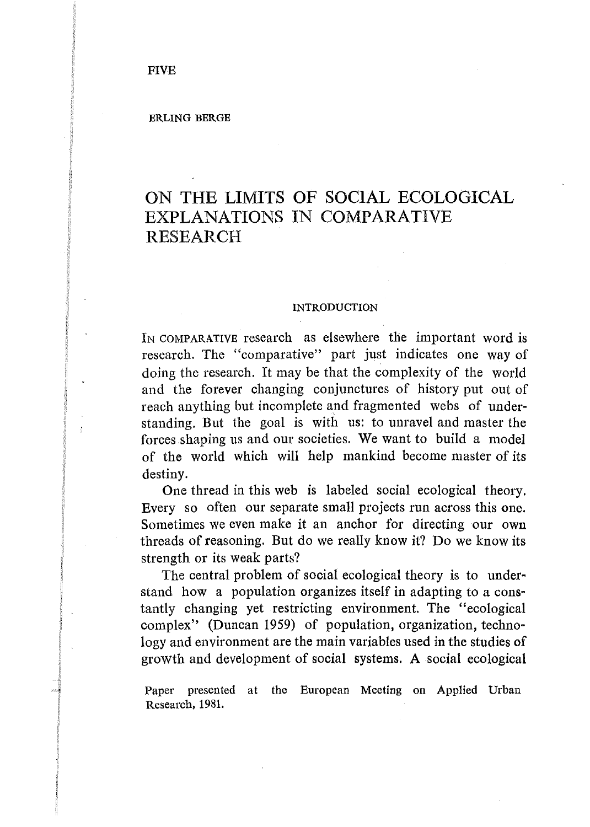# ON THE LIMITS OF SOCIAL ECOLOGICAL EXPLANATIONS IN COMPARATIVE RESEARCH

#### INTRODUCTION

IN COMPARATIVE research as elsewhere the important word is research. The "comparative" part just indicates one way of doing the research. It may be that the complexity of the world and the forever changing conjunctures of history put out of reach anything but incomplete and fragmented webs of understanding. But the goal is with us: to unravel and master the forces .shaping us and our societies. We want to build a model of the world which will help mankind become master of its destiny.

One thread in this web is labeled social ecological theory. Every so often our separate small projects run across this one. Sometimes we even make it an anchor for directing our own threads of reasoning. But do we really know it? Do we know its strength or its weak parts?

The central problem of social ecological theory is to understand how a population organizes itself in adapting to a constantly changing yet restricting environment. The "ecological complex" (Duncan 1959) of population, organization, technology and environment are the main variables used in the studies of growth and development of social systems. A social ecological

Paper presented at the European Meeting on Applied Urban Research, 1981.

 $\cdot$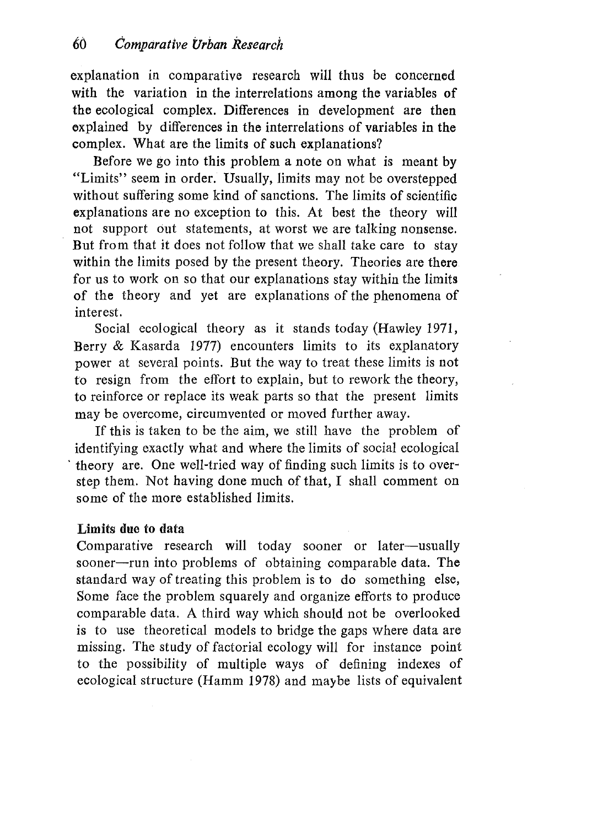explanation in comparative research will thus be concerned with the variation in the interrelations among the variables of the ecological complex. Differences in development are then explained by differences in the interrelations of variables in the complex. What are the limits of such explanations?

Before we go into this problem a note on what is meant by "Limits" seem in order. Usually, limits may not be overstepped without suffering some kind of sanctions. The limits of scientific explanations are no exception to this. At best the theory will not support out statements, at worst we are talking nonsense. But from that it does not follow that we shall take care to stay within the limits posed by the present theory. Theories are there for us to work on so that our explanations stay within the limits of the theory and yet are explanations of the phenomena of interest.

Social ecological theory as it stands today (Hawley 1971, Berry & Kasarda 1977) encounters limits to its explanatory power at several points. But the way to treat these limits is not to resign from the effort to explain, but to rework the theory, to reinforce or replace its weak parts so that the present limits may be overcome, circumvented or moved further away.

If this is taken to be the aim, we still have the problem of identifying exactly what and where the limits of social ecological · theory are. One well-tried way of finding such limits is to overstep them. Not having done much of that, I shall comment on some of the more established limits.

## Limits due to data

Comparative research will today sooner or later-usually sooner-run into problems of obtaining comparable data. The standard way of treating this problem is to do something else, Some face the problem squarely and organize efforts to produce comparable data. A third way which should not be overlooked is to use theoretical models to bridge the gaps where data are missing. The study of factorial ecology will for instance point to the possibility of multiple ways of defining indexes of ecological structure (Hamm 1978) and maybe lists of equivalent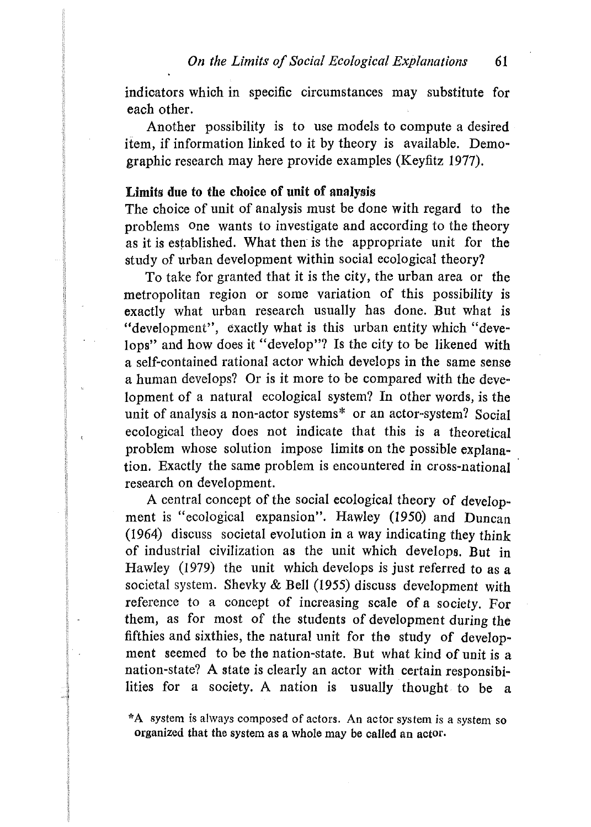indicators which in specific circumstances may substitute for each other.

Another possibility is to use models to compute a desired item, if information linked to it by theory is available. Demographic research may here provide examples (Keyfitz 1977).

### Limits due to the choice of **unit** of analysis

The choice of unit of analysis must be done with regard to the problems one wants to investigate and according to the theory as it is established. What then is the appropriate unit for the study of urban development within social ecological theory?

To take for granted that it is the city, the urban area or the metropolitan region or some variation of this possibility is exactly what urban research usually has done. But what is "development", exactly what is this urban entity which "develops" and how does it "develop"? Is the city to be likened with a self-contained rational actor which develops in the same sense a human develops? Or is it more to be compared with the development of a natural ecological system? In other words, is the unit of analysis a non-actor systems\* or an actor-system? Social ecological theoy does not indicate that this is a theoretical problem whose solution impose limits on the possible explanation. Exactly the same problem is encountered *in* cross-national research on development.

A central concept of the social ecological theory of development is "ecological expansion". Hawley (1950) and Duncan (1964) discuss societal evolution in a way indicating they think of industrial civilization as the unit which develops. But in Hawley (1979) the unit which develops is just referred to as a societal system. Shevky & Bell (1955) discuss development with reference to a concept of increasing scale of a society. For them, as for most of the students of development during the fifthies and sixthies, the natural unit for the study of development seemed to be the nation-state. But what kind of unit is a nation-state? A state is clearly an actor with certain responsibilities for a society. A nation is usually thought to be a

<sup>\*</sup>A system is always composed of actors. An actor system is a system so organized that the system as a whole may be called an actor.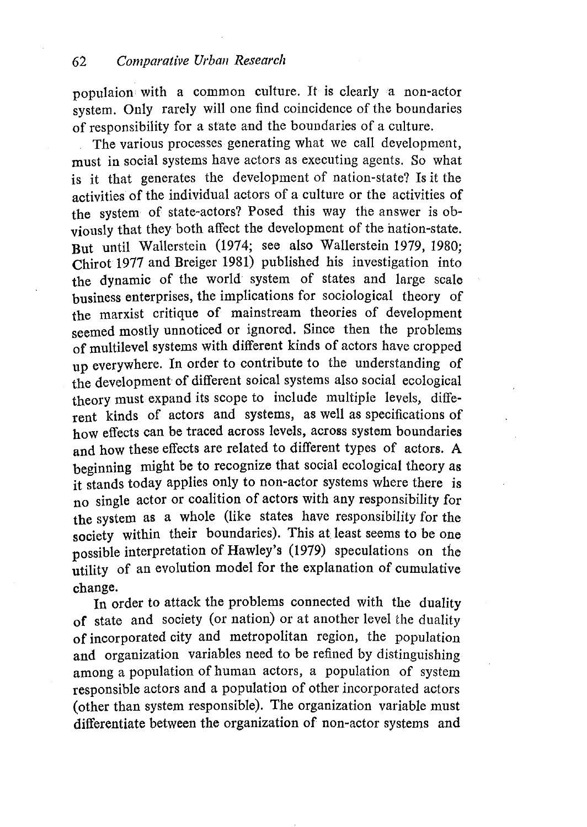populaion with a common culture. It is clearly a non-actor system. Only rarely will one find coincidence of the boundaries of responsibility for a state and the boundaries of a culture.

The various processes generating what we call development, must in social systems have actors as executing agents. So what is it that generates the development of nation-state? Is it the activities of the individual actors of a culture or the activities of the system of state-actors? Posed this way the answer is obviously that they both affect the development of the nation-state. But until Wallerstein (1974; see also Wallerstein 1979, 1980; Chirot 1977 and Breiger 1981) published his investigation into the dynamic of the world system of states and large scale business enterprises, the implications for sociological theory of the marxist critique of mainstream theories of development seemed mostly unnoticed or ignored. Since then the problems of multilevel systems with different kinds of actors have cropped up everywhere. In order to contribute to the understanding of the development of different soical systems also social ecological theory must expand its scope to include multiple levels, different kinds of actors and systems, as well as specifications of how effects can be traced across levels, across system boundaries and how these effects are related to different types of actors. A beginning might be to recognize that social ecological theory as it stands today applies only to non-actor systems where there is no single actor or coalition of actors with any responsibility for the system as a whole (like states have responsibility for the society within their boundaries). This at least seems to be one possible interpretation of Hawley's (1979) speculations on the utility of an evolution model for the explanation of cumulative change.

In order to attack the problems connected with the duality of state and society (or nation) or at another level the duality of incorporated city and metropolitan region, the population and organization variables need to be refined by distinguishing among a population of human actors, a population of system responsible actors and a population of other incorporated actors (other than system responsible). The organization variable must differentiate between the organization of non-actor systems and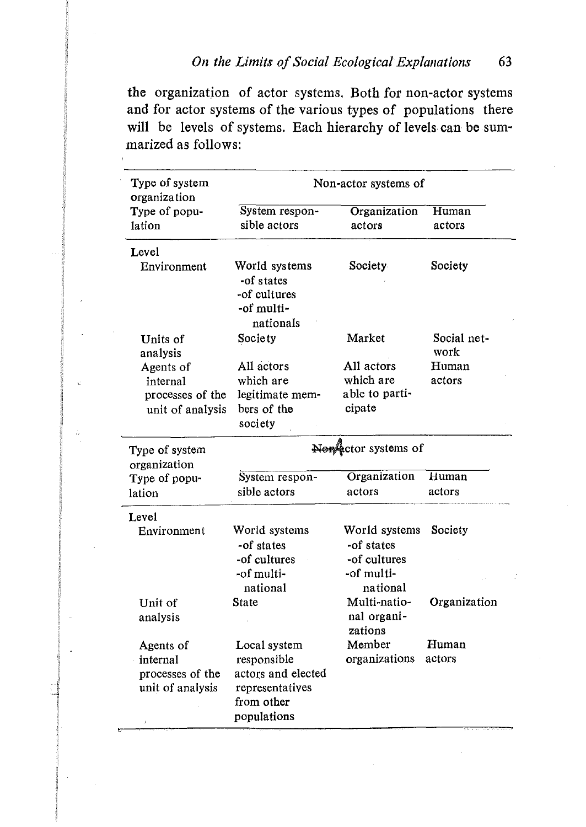the organizatjon of actor systems. Both for non-actor systems and for actor systems of the various types of populations there will be levels of systems. Each hierarchy of levels can be summarized as follows:

| Type of system<br>organization                                | Non-actor systems of                                                                              |                                                                       |                     |
|---------------------------------------------------------------|---------------------------------------------------------------------------------------------------|-----------------------------------------------------------------------|---------------------|
| Type of popu-<br>lation                                       | System respon-<br>sible actors                                                                    | Organization<br>actors                                                | Human<br>actors     |
| Level                                                         |                                                                                                   |                                                                       |                     |
| Environment                                                   | World systems<br>-of states<br>-of cultures<br>-of multi-<br>nationals                            | Society                                                               | Society             |
| Units of<br>analysis                                          | Society                                                                                           | Market                                                                | Social net-<br>work |
| Agents of                                                     | All actors                                                                                        | All actors                                                            | Human               |
| internal                                                      | which are                                                                                         | which are                                                             | actors              |
| processes of the                                              | legitimate mem-                                                                                   | able to parti-                                                        |                     |
| unit of analysis                                              | bers of the<br>society                                                                            | cipate                                                                |                     |
| Type of system<br>organization                                | Non actor systems of                                                                              |                                                                       |                     |
| Type of popu-<br>lation                                       | System respon-<br>sible actors                                                                    | Organization<br>actors                                                | Human<br>actors     |
| Level                                                         |                                                                                                   |                                                                       |                     |
| Environment                                                   | World systems<br>-of states<br>-of cultures<br>-of multi-<br>national                             | World systems<br>-of states<br>-of cultures<br>-of multi-<br>national | Society             |
| Unit of<br>analysis                                           | State                                                                                             | Multi-natio-<br>nal organi-<br>zations                                | Organization        |
| Agents of<br>internal<br>processes of the<br>unit of analysis | Local system<br>responsible<br>actors and elected<br>representatives<br>from other<br>populations | Member<br>organizations                                               | Human<br>actors     |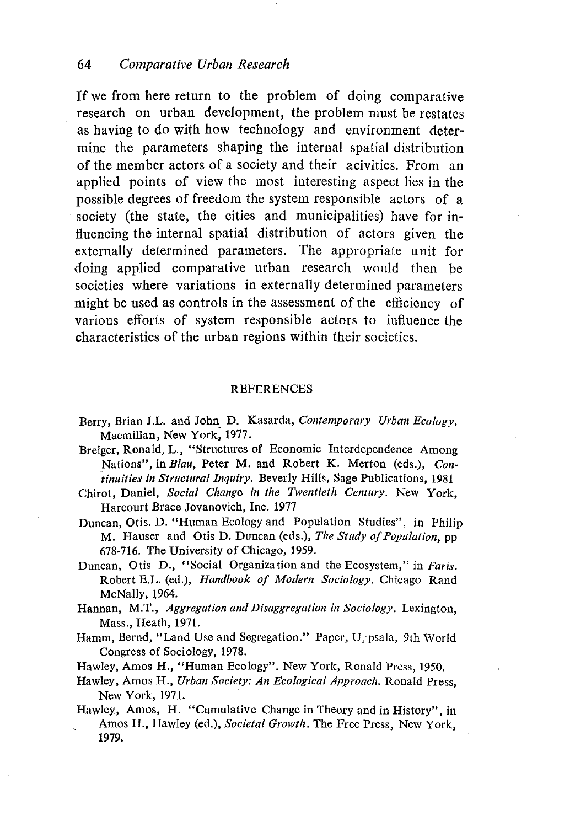If we from here return to the problem of doing comparative research on urban development, the problem must be restates as having to do with how technology and environment determine the parameters shaping the internal spatial distribution of the member actors of a society and their acivities. From an applied points of view the most interesting aspect lies in the possible degrees of freedom the system responsible actors of a society (the state, the cities and municipalities) have for influencing the internal spatial distribution of actors given the externally determined parameters. The appropriate unit for doing applied comparative urban research would then be societies where variations in externally determined parameters might be used as controls in the assessment of the efficiency of various efforts of system responsible actors to influence the characteristics of the urban regions within their societies.

### REFERENCES

- Berry, Brian J.L. and John D. Kasarda, *Contemporary Urban Ecology*. Macmillan, New York; 1977.
- Breiger, Ronald, L., "Structures of Economic Interdependence Among Nations", in *Blau,* Peter M. and Robert K. Merton (eds.), *Co11 tinuities in Structural Inquiry.* Beverly Hills, Sage Publications, 1981
- Chirot, Daniel, *Social Change in the Twentieth Century*. New York, Harcourt Brace Jovanovich, Inc. 1977
- Duncan, Otis. D. "Human Ecology and Population Studies", in Philip M. Hauser and Otis D. Duncan (eds.), *The Study of Population*, pp. 678-716. The University of Chicago, 1959.
- Duncan, Otis D., "Social Organization and the Ecosystem," in *Faris.*  Robert E.L. (ed.), *Handbook of Modern Sociology.* Chicago Rand McNally, 1964.
- Hannan, M.T., *Aggregation and Disaggregation in Sociology*. Lexington, Mass., Heath, 1971.
- Hamm, Bernd, "Land Use and Segregation." Paper, U, psala, 9th World Congress of Sociology, 1978.
- Hawley, Amos H., "Human Ecology". New York, Ronald Press, 1950.
- Hawley, Amos H., *Urban Society: A11 Ecological Approach.* Ronald Press, New York, 1971.
- Hawley, Amos, H. "Cumulative Change in Theory and in History", in Amos H., Hawley (ed.), *Societal Growth.* The Free Press, New York, 1979.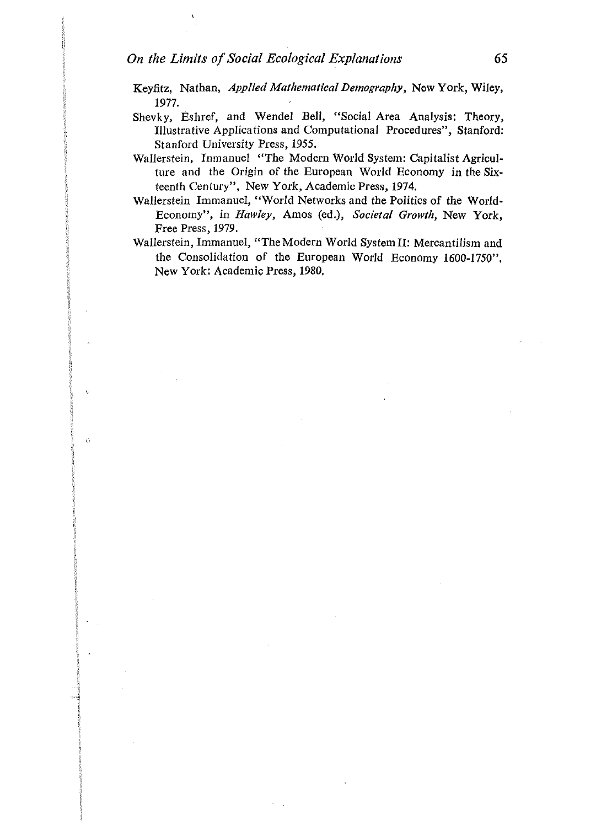$\epsilon$ 

 $\ddot{O}$ 

- Keyfitz, Nathan, *Applied Mathematical Demography,* New York, Wiley, 1977.
- Shevky, Eshref, and Wendel Bell, "Social Area Analysis: Theory, Illustrative Applications and Computational Procedures", Stanford: Stanford University Press, *1955.*
- Wallerstein, Inmanuel "The Modern World System: Capitalist Agriculture and the Origin of the European World Economy in the Sixteenth Century", New York, Academic Press, 1974.
- Wallerstein Immanuel, "World Networks and the Politics of the World-Economy", in *Hawley,* Amos (ed.), *Societal Growth,* New York, Free Press, 1979.
- Wallerstein, Immanuel, "The Modern World SystemII: Mercantilism and the Consolidation of the European World Economy 1600-1750". New York: Academic Press, 1980.